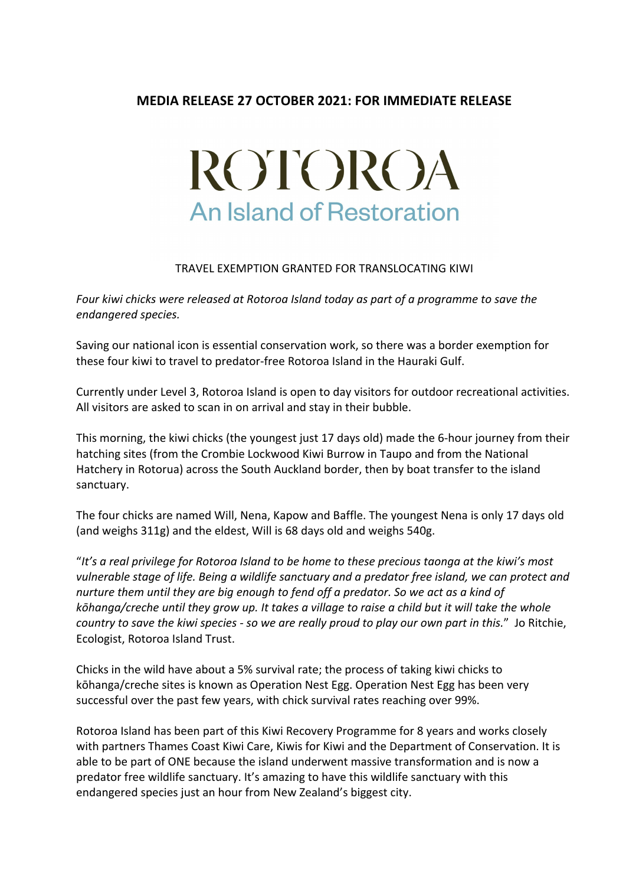## **MEDIA RELEASE 27 OCTOBER 2021: FOR IMMEDIATE RELEASE**

## ROTOROA **An Island of Restoration**

## TRAVEL EXEMPTION GRANTED FOR TRANSLOCATING KIWI

Four kiwi chicks were released at Rotoroa Island today as part of a programme to save the *endangered species.*

Saving our national icon is essential conservation work, so there was a border exemption for these four kiwi to travel to predator-free Rotoroa Island in the Hauraki Gulf.

Currently under Level 3, Rotoroa Island is open to day visitors for outdoor recreational activities. All visitors are asked to scan in on arrival and stay in their bubble.

This morning, the kiwi chicks (the youngest just 17 days old) made the 6-hour journey from their hatching sites (from the Crombie Lockwood Kiwi Burrow in Taupo and from the National Hatchery in Rotorua) across the South Auckland border, then by boat transfer to the island sanctuary.

The four chicks are named Will, Nena, Kapow and Baffle. The youngest Nena is only 17 days old (and weighs 311g) and the eldest, Will is 68 days old and weighs 540g.

"It's a real privilege for Rotoroa Island to be home to these precious taonga at the kiwi's most *vulnerable stage of life. Being a wildlife sanctuary and a predator free island, we can protect and nurture them until they are big enough to fend off a predator. So we act as a kind of kōhanga/creche until they grow up.* It takes a village to raise a child but it will take the whole *country* to save the kiwi species - so we are really proud to play our own part in this." Jo Ritchie, Ecologist, Rotoroa Island Trust.

Chicks in the wild have about a 5% survival rate; the process of taking kiwi chicks to kōhanga/creche sites is known as Operation Nest Egg. Operation Nest Egg has been very successful over the past few years, with chick survival rates reaching over 99%.

Rotoroa Island has been part of this Kiwi Recovery Programme for 8 years and works closely with partners Thames Coast Kiwi Care, Kiwis for Kiwi and the Department of Conservation. It is able to be part of ONE because the island underwent massive transformation and is now a predator free wildlife sanctuary. It's amazing to have this wildlife sanctuary with this endangered species just an hour from New Zealand's biggest city.